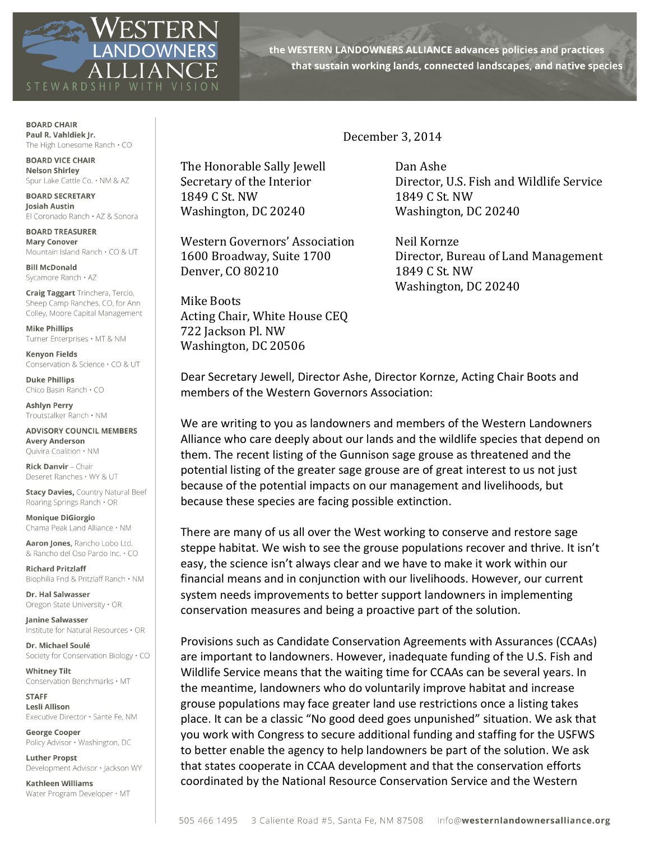

the WESTERN LANDOWNERS ALLIANCE advances policies and practices that sustain working lands, connected landscapes, and native species

**BOARD CHAIR** Paul R. Vahldiek Jr. The High Lonesome Ranch  $\cdot$  CO

**BOARD VICE CHAIR Nelson Shirley** Spur Lake Cattle Co. . NM & AZ

**BOARD SECRETARY** Josiah Austin El Coronado Ranch · AZ & Sonora

**BOARD TREASURER Mary Conover** Mountain Island Ranch · CO & UT

**Bill McDonald** Sycamore Ranch · AZ

**Craig Taggart** Trinchera, Tercio, Sheep Camp Ranches, CO, for Ann Colley, Moore Capital Management

**Mike Phillips** Turner Enterprises · MT & NM

**Kenvon Fields** Conservation & Science . CO & UT

**Duke Phillips** Chico Basin Ranch . CO

**Ashlyn Perry** Troutstalker Ranch · NM

**ADVISORY COUNCIL MEMBERS Avery Anderson** Ouivira Coalition . NM

Rick Danvir - Chair Deseret Ranches . WY & UT

**Stacy Davies, Country Natural Beef** Roaring Springs Ranch . OR

**Monique DiGiorgio** Chama Peak Land Alliance . NM

Aaron Jones, Rancho Lobo Ltd. & Rancho del Oso Pardo Inc. . CO

**Richard Pritzlaff** Biophilia Fnd & Pritzlaff Ranch  $\cdot$  NM

Dr. Hal Salwasser Oregon State University . OR

Janine Salwasser Institute for Natural Resources . OR

Dr. Michael Soulé Society for Conservation Biology . CO

**Whitney Tilt** Conservation Benchmarks · MT

**STAFF Lesli Allison** Executive Director · Sante Fe, NM

**George Cooper** Policy Advisor · Washington, DC

**Luther Propst** Development Advisor · Jackson WY

**Kathleen Williams** Water Program Developer · MT

## December 3, 2014

Secretary of the Interior The Honorable Sally Jewell **Dan Ashe** 1849 C St. NW 1849 C St. NW Washington, DC 20240 Washington, DC 20240

Western Governors' Association Neil Kornze Denver, CO 80210 1849 C St. NW

Mike Boots Acting Chair, White House CEQ 722 Jackson Pl. NW Washington, DC 20506

Director, U.S. Fish and Wildlife Service

1600 Broadway, Suite 1700 Director, Bureau of Land Management Washington, DC 20240

Dear Secretary Jewell, Director Ashe, Director Kornze, Acting Chair Boots and members of the Western Governors Association:

We are writing to you as landowners and members of the Western Landowners Alliance who care deeply about our lands and the wildlife species that depend on them. The recent listing of the Gunnison sage grouse as threatened and the potential listing of the greater sage grouse are of great interest to us not just because of the potential impacts on our management and livelihoods, but because these species are facing possible extinction.

There are many of us all over the West working to conserve and restore sage steppe habitat. We wish to see the grouse populations recover and thrive. It isn't easy, the science isn't always clear and we have to make it work within our financial means and in conjunction with our livelihoods. However, our current system needs improvements to better support landowners in implementing conservation measures and being a proactive part of the solution.

Provisions such as Candidate Conservation Agreements with Assurances (CCAAs) are important to landowners. However, inadequate funding of the U.S. Fish and Wildlife Service means that the waiting time for CCAAs can be several years. In the meantime, landowners who do voluntarily improve habitat and increase grouse populations may face greater land use restrictions once a listing takes place. It can be a classic "No good deed goes unpunished" situation. We ask that you work with Congress to secure additional funding and staffing for the USFWS to better enable the agency to help landowners be part of the solution. We ask that states cooperate in CCAA development and that the conservation efforts coordinated by the National Resource Conservation Service and the Western